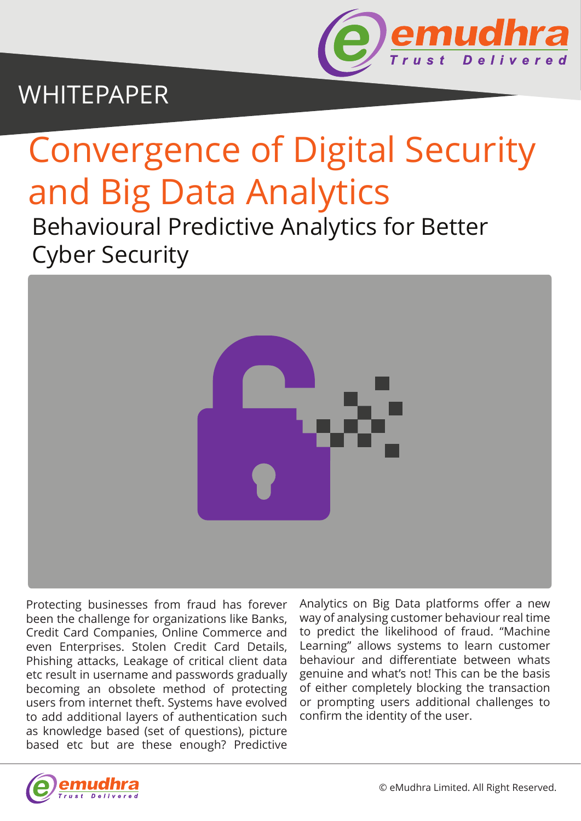

## WHITEPAPER

# Convergence of Digital Security and Big Data Analytics

Behavioural Predictive Analytics for Better Cyber Security



Protecting businesses from fraud has forever been the challenge for organizations like Banks, Credit Card Companies, Online Commerce and even Enterprises. Stolen Credit Card Details, Phishing attacks, Leakage of critical client data etc result in username and passwords gradually becoming an obsolete method of protecting users from internet theft. Systems have evolved to add additional layers of authentication such as knowledge based (set of questions), picture based etc but are these enough? Predictive

Analytics on Big Data platforms offer a new way of analysing customer behaviour real time to predict the likelihood of fraud. "Machine Learning" allows systems to learn customer behaviour and differentiate between whats genuine and what's not! This can be the basis of either completely blocking the transaction or prompting users additional challenges to confirm the identity of the user.

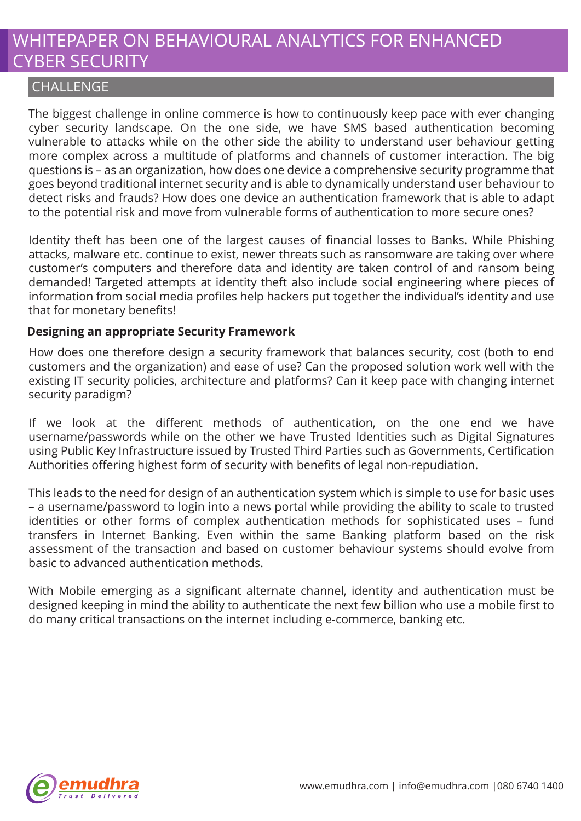## WHITEPAPER ON BEHAVIOURAL ANALYTICS FOR ENHANCED CYBER SECURITY

#### **CHALLENGE**

The biggest challenge in online commerce is how to continuously keep pace with ever changing cyber security landscape. On the one side, we have SMS based authentication becoming vulnerable to attacks while on the other side the ability to understand user behaviour getting more complex across a multitude of platforms and channels of customer interaction. The big questions is – as an organization, how does one device a comprehensive security programme that goes beyond traditional internet security and is able to dynamically understand user behaviour to detect risks and frauds? How does one device an authentication framework that is able to adapt to the potential risk and move from vulnerable forms of authentication to more secure ones?

Identity theft has been one of the largest causes of financial losses to Banks. While Phishing attacks, malware etc. continue to exist, newer threats such as ransomware are taking over where customer's computers and therefore data and identity are taken control of and ransom being demanded! Targeted attempts at identity theft also include social engineering where pieces of information from social media profiles help hackers put together the individual's identity and use that for monetary benefits!

#### **Designing an appropriate Security Framework**

How does one therefore design a security framework that balances security, cost (both to end customers and the organization) and ease of use? Can the proposed solution work well with the existing IT security policies, architecture and platforms? Can it keep pace with changing internet security paradigm?

If we look at the different methods of authentication, on the one end we have username/passwords while on the other we have Trusted Identities such as Digital Signatures using Public Key Infrastructure issued by Trusted Third Parties such as Governments, Certification Authorities offering highest form of security with benefits of legal non-repudiation.

This leads to the need for design of an authentication system which is simple to use for basic uses – a username/password to login into a news portal while providing the ability to scale to trusted identities or other forms of complex authentication methods for sophisticated uses – fund transfers in Internet Banking. Even within the same Banking platform based on the risk assessment of the transaction and based on customer behaviour systems should evolve from basic to advanced authentication methods.

With Mobile emerging as a significant alternate channel, identity and authentication must be designed keeping in mind the ability to authenticate the next few billion who use a mobile first to do many critical transactions on the internet including e-commerce, banking etc.

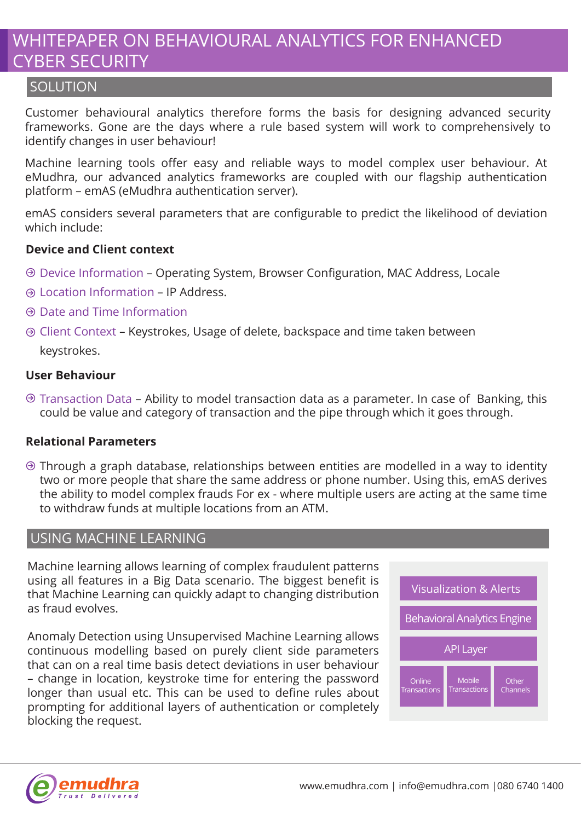### WHITEPAPER ON BEHAVIOURAL ANALYTICS FOR ENHANCED CYBER SECURITY

#### **SOLUTION**

Customer behavioural analytics therefore forms the basis for designing advanced security frameworks. Gone are the days where a rule based system will work to comprehensively to identify changes in user behaviour!

Machine learning tools offer easy and reliable ways to model complex user behaviour. At eMudhra, our advanced analytics frameworks are coupled with our flagship authentication platform – emAS (eMudhra authentication server).

emAS considers several parameters that are configurable to predict the likelihood of deviation which include:

#### **Device and Client context**

- Device Information Operating System, Browser Configuration, MAC Address, Locale
- Location Information IP Address.
- Date and Time Information
- Client Context Keystrokes, Usage of delete, backspace and time taken between

keystrokes.

#### **User Behaviour**

 $\Theta$  Transaction Data – Ability to model transaction data as a parameter. In case of Banking, this could be value and category of transaction and the pipe through which it goes through.

#### **Relational Parameters**

 $\odot$  Through a graph database, relationships between entities are modelled in a way to identity two or more people that share the same address or phone number. Using this, emAS derives the ability to model complex frauds For ex - where multiple users are acting at the same time to withdraw funds at multiple locations from an ATM.

#### USING MACHINE LEARNING

Machine learning allows learning of complex fraudulent patterns using all features in a Big Data scenario. The biggest benefit is that Machine Learning can quickly adapt to changing distribution as fraud evolves.

Anomaly Detection using Unsupervised Machine Learning allows continuous modelling based on purely client side parameters that can on a real time basis detect deviations in user behaviour – change in location, keystroke time for entering the password longer than usual etc. This can be used to define rules about prompting for additional layers of authentication or completely blocking the request.